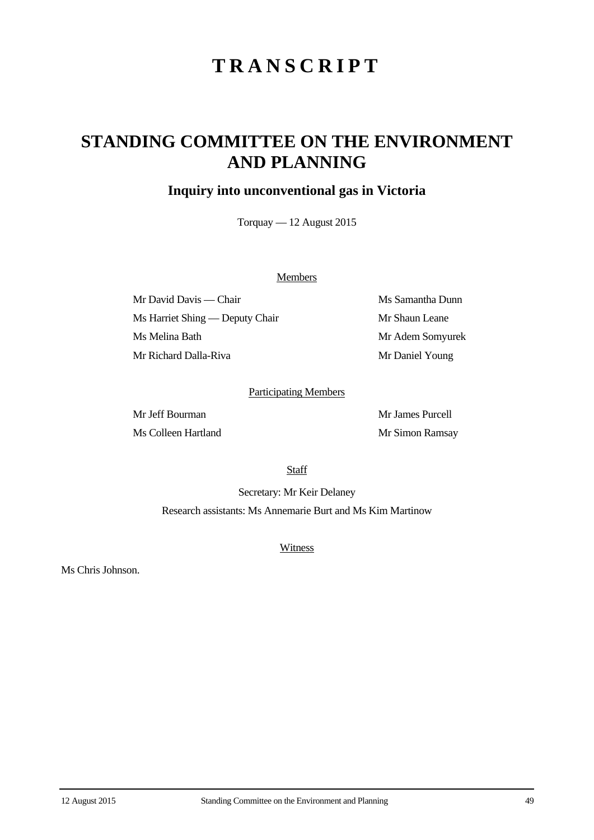# **TRANSCRIPT**

## **STANDING COMMITTEE ON THE ENVIRONMENT AND PLANNING**

## **Inquiry into unconventional gas in Victoria**

Torquay — 12 August 2015

#### **Members**

Mr David Davis — Chair Ms Samantha Dunn Ms Harriet Shing — Deputy Chair Mr Shaun Leane Ms Melina Bath Mr Adem Somyurek Mr Richard Dalla-Riva Mr Daniel Young

### Participating Members

Mr Jeff Bourman Mr James Purcell Ms Colleen Hartland Mr Simon Ramsay

**Staff** 

Secretary: Mr Keir Delaney Research assistants: Ms Annemarie Burt and Ms Kim Martinow

**Witness** 

Ms Chris Johnson.